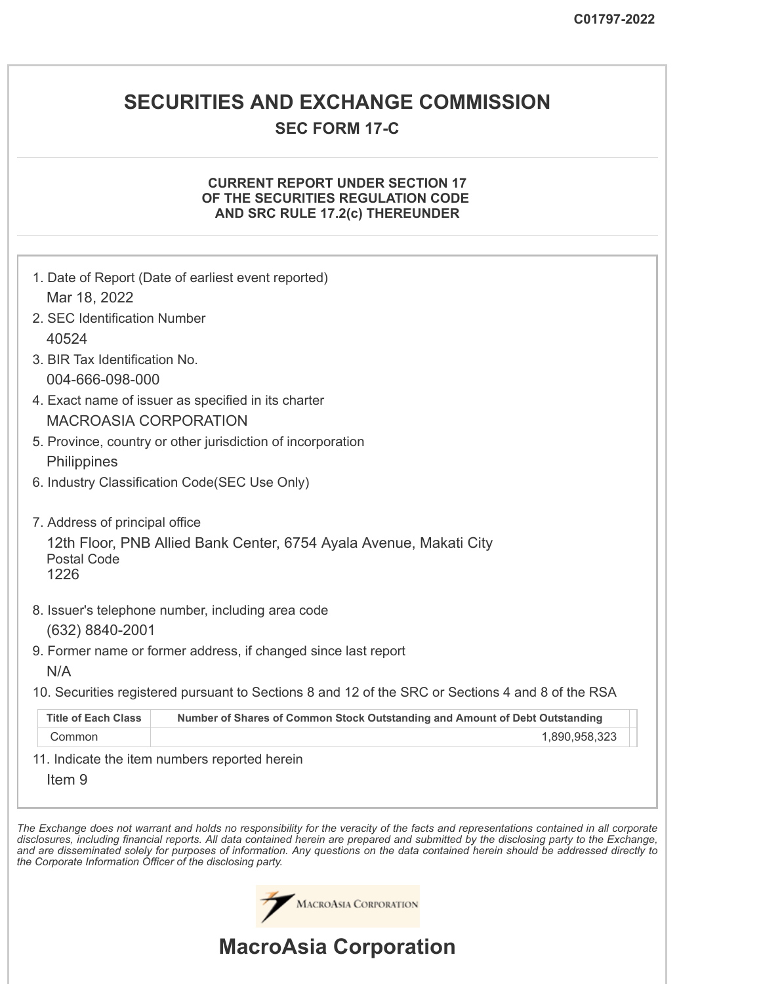### **SECURITIES AND EXCHANGE COMMISSION**

### **SEC FORM 17-C**

#### **CURRENT REPORT UNDER SECTION 17 OF THE SECURITIES REGULATION CODE AND SRC RULE 17.2(c) THEREUNDER**

|                                | 1. Date of Report (Date of earliest event reported)                                                                                   |
|--------------------------------|---------------------------------------------------------------------------------------------------------------------------------------|
| Mar 18, 2022                   |                                                                                                                                       |
| 2. SEC Identification Number   |                                                                                                                                       |
| 40524                          |                                                                                                                                       |
| 3. BIR Tax Identification No.  |                                                                                                                                       |
| 004-666-098-000                |                                                                                                                                       |
|                                | 4. Exact name of issuer as specified in its charter                                                                                   |
| <b>MACROASIA CORPORATION</b>   |                                                                                                                                       |
|                                | 5. Province, country or other jurisdiction of incorporation                                                                           |
| Philippines                    |                                                                                                                                       |
|                                | 6. Industry Classification Code(SEC Use Only)                                                                                         |
|                                |                                                                                                                                       |
| 7. Address of principal office |                                                                                                                                       |
|                                | 12th Floor, PNB Allied Bank Center, 6754 Ayala Avenue, Makati City                                                                    |
| <b>Postal Code</b><br>1226     |                                                                                                                                       |
|                                |                                                                                                                                       |
|                                | 8. Issuer's telephone number, including area code                                                                                     |
| (632) 8840-2001                |                                                                                                                                       |
|                                | 9. Former name or former address, if changed since last report                                                                        |
| N/A                            |                                                                                                                                       |
|                                | 10. Securities registered pursuant to Sections 8 and 12 of the SRC or Sections 4 and 8 of the RSA                                     |
| <b>Title of Each Class</b>     | Number of Shares of Common Stock Outstanding and Amount of Debt Outstanding                                                           |
| Common                         | 1,890,958,323                                                                                                                         |
|                                | 11. Indicate the item numbers reported herein                                                                                         |
| Item <sub>9</sub>              |                                                                                                                                       |
|                                |                                                                                                                                       |
|                                | he Exchange does not warrant and holds no responsibility for the veracity of the facts and representations contained in all corporate |

The Exchange does not warrant and holds no responsibility for the veracity of the facts and representations contained in all corporate disclosures, including financial reports. All data contained herein are prepared and submitted by the disclosing party to the Exchange, and are disseminated solely for purposes of information. Any questions on the data contained herein should be addressed directly to *the Corporate Information Officer of the disclosing party.*

MACROASIA CORPORATION

# **MacroAsia Corporation**